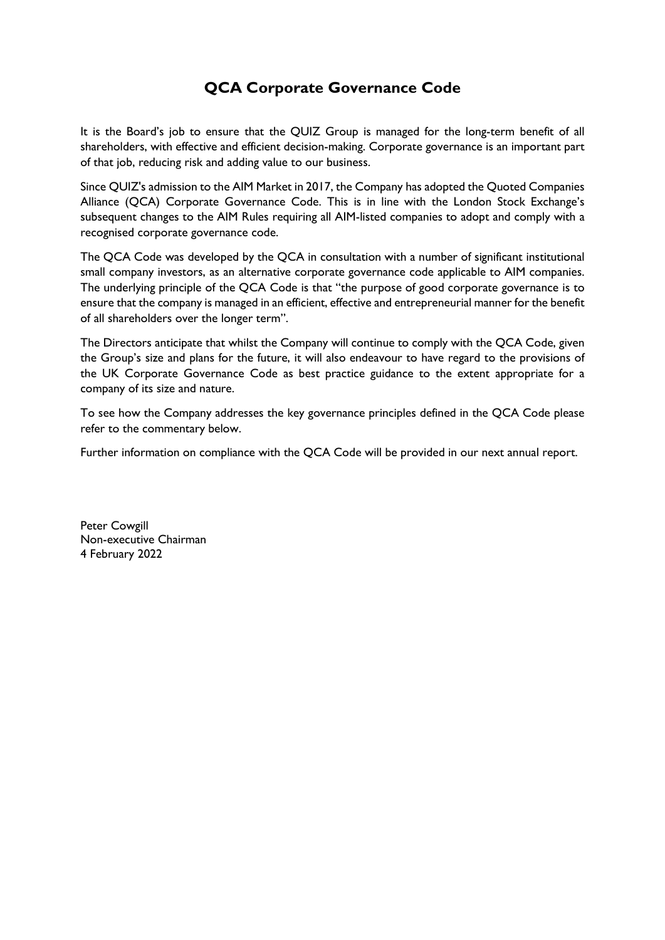# QCA Corporate Governance Code

It is the Board's job to ensure that the QUIZ Group is managed for the long-term benefit of all shareholders, with effective and efficient decision-making. Corporate governance is an important part of that job, reducing risk and adding value to our business.

Since QUIZ's admission to the AIM Market in 2017, the Company has adopted the Quoted Companies Alliance (QCA) Corporate Governance Code. This is in line with the London Stock Exchange's subsequent changes to the AIM Rules requiring all AIM-listed companies to adopt and comply with a recognised corporate governance code.

The QCA Code was developed by the QCA in consultation with a number of significant institutional small company investors, as an alternative corporate governance code applicable to AIM companies. The underlying principle of the QCA Code is that "the purpose of good corporate governance is to ensure that the company is managed in an efficient, effective and entrepreneurial manner for the benefit of all shareholders over the longer term".

The Directors anticipate that whilst the Company will continue to comply with the QCA Code, given the Group's size and plans for the future, it will also endeavour to have regard to the provisions of the UK Corporate Governance Code as best practice guidance to the extent appropriate for a company of its size and nature.

To see how the Company addresses the key governance principles defined in the QCA Code please refer to the commentary below.

Further information on compliance with the QCA Code will be provided in our next annual report.

Peter Cowgill Non-executive Chairman 4 February 2022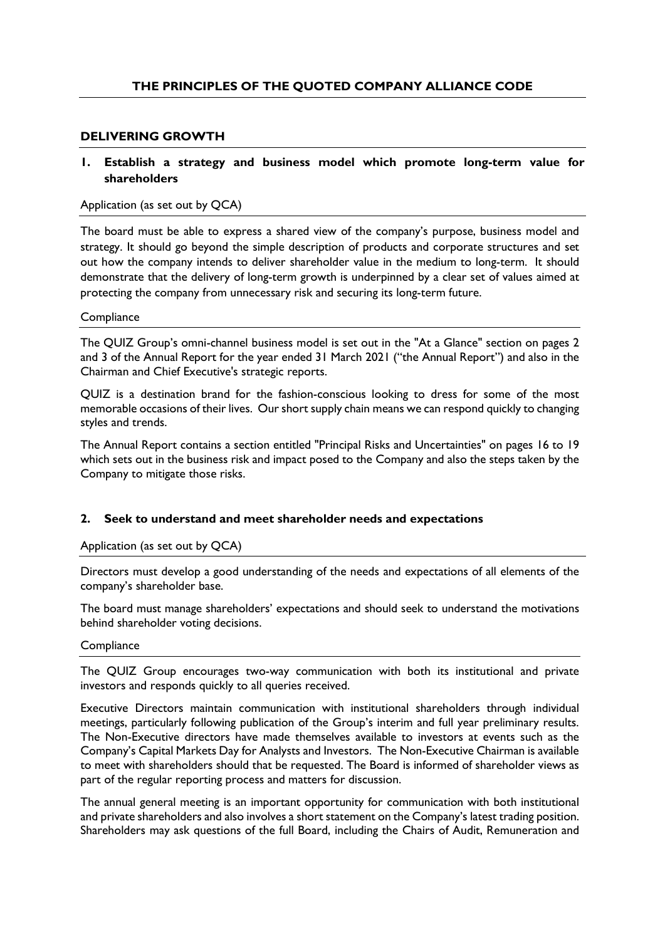## DELIVERING GROWTH

## 1. Establish a strategy and business model which promote long-term value for shareholders

## Application (as set out by QCA)

The board must be able to express a shared view of the company's purpose, business model and strategy. It should go beyond the simple description of products and corporate structures and set out how the company intends to deliver shareholder value in the medium to long-term. It should demonstrate that the delivery of long-term growth is underpinned by a clear set of values aimed at protecting the company from unnecessary risk and securing its long-term future.

#### **Compliance**

The QUIZ Group's omni-channel business model is set out in the "At a Glance" section on pages 2 and 3 of the Annual Report for the year ended 31 March 2021 ("the Annual Report") and also in the Chairman and Chief Executive's strategic reports.

QUIZ is a destination brand for the fashion-conscious looking to dress for some of the most memorable occasions of their lives. Our short supply chain means we can respond quickly to changing styles and trends.

The Annual Report contains a section entitled "Principal Risks and Uncertainties" on pages 16 to 19 which sets out in the business risk and impact posed to the Company and also the steps taken by the Company to mitigate those risks.

## 2. Seek to understand and meet shareholder needs and expectations

## Application (as set out by QCA)

Directors must develop a good understanding of the needs and expectations of all elements of the company's shareholder base.

The board must manage shareholders' expectations and should seek to understand the motivations behind shareholder voting decisions.

#### **Compliance**

The QUIZ Group encourages two-way communication with both its institutional and private investors and responds quickly to all queries received.

Executive Directors maintain communication with institutional shareholders through individual meetings, particularly following publication of the Group's interim and full year preliminary results. The Non-Executive directors have made themselves available to investors at events such as the Company's Capital Markets Day for Analysts and Investors. The Non-Executive Chairman is available to meet with shareholders should that be requested. The Board is informed of shareholder views as part of the regular reporting process and matters for discussion.

The annual general meeting is an important opportunity for communication with both institutional and private shareholders and also involves a short statement on the Company's latest trading position. Shareholders may ask questions of the full Board, including the Chairs of Audit, Remuneration and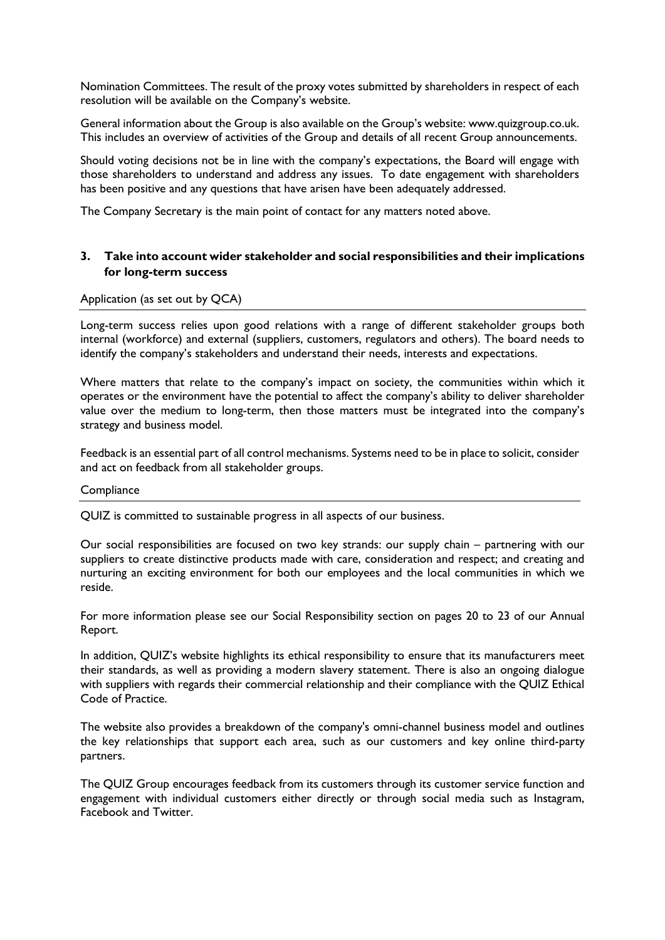Nomination Committees. The result of the proxy votes submitted by shareholders in respect of each resolution will be available on the Company's website.

General information about the Group is also available on the Group's website: www.quizgroup.co.uk. This includes an overview of activities of the Group and details of all recent Group announcements.

Should voting decisions not be in line with the company's expectations, the Board will engage with those shareholders to understand and address any issues. To date engagement with shareholders has been positive and any questions that have arisen have been adequately addressed.

The Company Secretary is the main point of contact for any matters noted above.

# 3. Take into account wider stakeholder and social responsibilities and their implications for long-term success

## Application (as set out by QCA)

Long-term success relies upon good relations with a range of different stakeholder groups both internal (workforce) and external (suppliers, customers, regulators and others). The board needs to identify the company's stakeholders and understand their needs, interests and expectations.

Where matters that relate to the company's impact on society, the communities within which it operates or the environment have the potential to affect the company's ability to deliver shareholder value over the medium to long-term, then those matters must be integrated into the company's strategy and business model.

Feedback is an essential part of all control mechanisms. Systems need to be in place to solicit, consider and act on feedback from all stakeholder groups.

#### **Compliance**

QUIZ is committed to sustainable progress in all aspects of our business.

Our social responsibilities are focused on two key strands: our supply chain – partnering with our suppliers to create distinctive products made with care, consideration and respect; and creating and nurturing an exciting environment for both our employees and the local communities in which we reside.

For more information please see our Social Responsibility section on pages 20 to 23 of our Annual Report.

In addition, QUIZ's website highlights its ethical responsibility to ensure that its manufacturers meet their standards, as well as providing a modern slavery statement. There is also an ongoing dialogue with suppliers with regards their commercial relationship and their compliance with the QUIZ Ethical Code of Practice.

The website also provides a breakdown of the company's omni-channel business model and outlines the key relationships that support each area, such as our customers and key online third-party partners.

The QUIZ Group encourages feedback from its customers through its customer service function and engagement with individual customers either directly or through social media such as Instagram, Facebook and Twitter.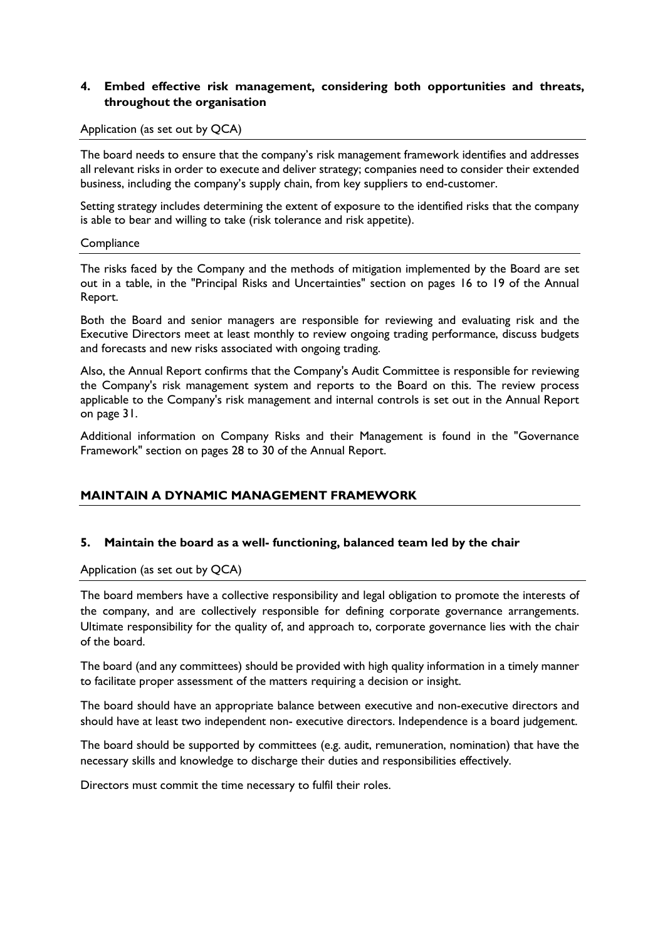# 4. Embed effective risk management, considering both opportunities and threats, throughout the organisation

#### Application (as set out by QCA)

The board needs to ensure that the company's risk management framework identifies and addresses all relevant risks in order to execute and deliver strategy; companies need to consider their extended business, including the company's supply chain, from key suppliers to end-customer.

Setting strategy includes determining the extent of exposure to the identified risks that the company is able to bear and willing to take (risk tolerance and risk appetite).

#### **Compliance**

The risks faced by the Company and the methods of mitigation implemented by the Board are set out in a table, in the "Principal Risks and Uncertainties" section on pages 16 to 19 of the Annual Report.

Both the Board and senior managers are responsible for reviewing and evaluating risk and the Executive Directors meet at least monthly to review ongoing trading performance, discuss budgets and forecasts and new risks associated with ongoing trading.

Also, the Annual Report confirms that the Company's Audit Committee is responsible for reviewing the Company's risk management system and reports to the Board on this. The review process applicable to the Company's risk management and internal controls is set out in the Annual Report on page 31.

Additional information on Company Risks and their Management is found in the "Governance Framework" section on pages 28 to 30 of the Annual Report.

# MAINTAIN A DYNAMIC MANAGEMENT FRAMEWORK

## 5. Maintain the board as a well- functioning, balanced team led by the chair

Application (as set out by QCA)

The board members have a collective responsibility and legal obligation to promote the interests of the company, and are collectively responsible for defining corporate governance arrangements. Ultimate responsibility for the quality of, and approach to, corporate governance lies with the chair of the board.

The board (and any committees) should be provided with high quality information in a timely manner to facilitate proper assessment of the matters requiring a decision or insight.

The board should have an appropriate balance between executive and non-executive directors and should have at least two independent non- executive directors. Independence is a board judgement.

The board should be supported by committees (e.g. audit, remuneration, nomination) that have the necessary skills and knowledge to discharge their duties and responsibilities effectively.

Directors must commit the time necessary to fulfil their roles.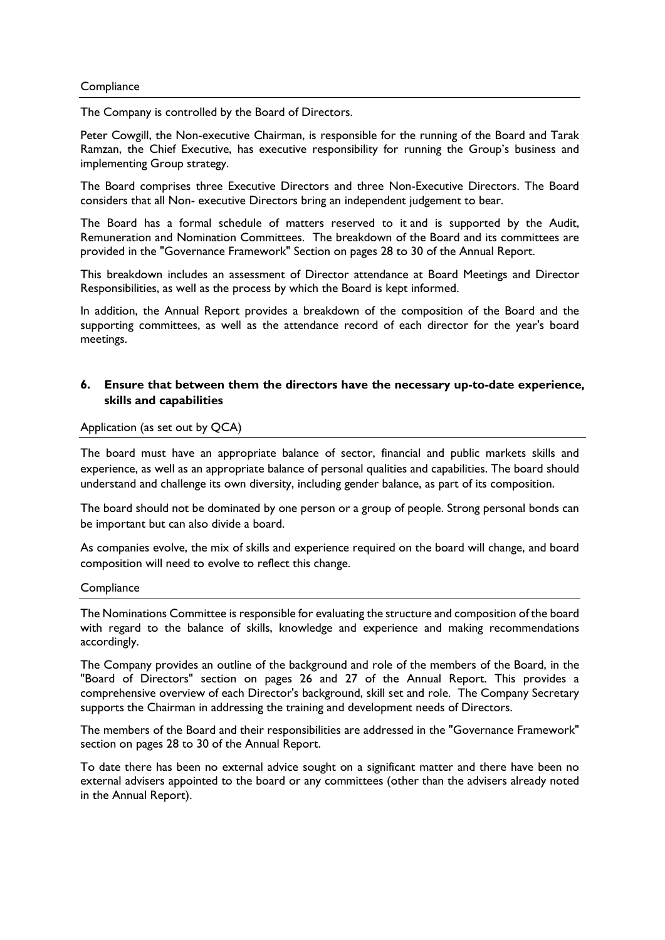#### **Compliance**

The Company is controlled by the Board of Directors.

Peter Cowgill, the Non-executive Chairman, is responsible for the running of the Board and Tarak Ramzan, the Chief Executive, has executive responsibility for running the Group's business and implementing Group strategy.

The Board comprises three Executive Directors and three Non-Executive Directors. The Board considers that all Non- executive Directors bring an independent judgement to bear.

The Board has a formal schedule of matters reserved to it and is supported by the Audit, Remuneration and Nomination Committees. The breakdown of the Board and its committees are provided in the "Governance Framework" Section on pages 28 to 30 of the Annual Report.

This breakdown includes an assessment of Director attendance at Board Meetings and Director Responsibilities, as well as the process by which the Board is kept informed.

In addition, the Annual Report provides a breakdown of the composition of the Board and the supporting committees, as well as the attendance record of each director for the year's board meetings.

## 6. Ensure that between them the directors have the necessary up-to-date experience, skills and capabilities

#### Application (as set out by QCA)

The board must have an appropriate balance of sector, financial and public markets skills and experience, as well as an appropriate balance of personal qualities and capabilities. The board should understand and challenge its own diversity, including gender balance, as part of its composition.

The board should not be dominated by one person or a group of people. Strong personal bonds can be important but can also divide a board.

As companies evolve, the mix of skills and experience required on the board will change, and board composition will need to evolve to reflect this change.

#### **Compliance**

The Nominations Committee is responsible for evaluating the structure and composition of the board with regard to the balance of skills, knowledge and experience and making recommendations accordingly.

The Company provides an outline of the background and role of the members of the Board, in the "Board of Directors" section on pages 26 and 27 of the Annual Report. This provides a comprehensive overview of each Director's background, skill set and role. The Company Secretary supports the Chairman in addressing the training and development needs of Directors.

The members of the Board and their responsibilities are addressed in the "Governance Framework" section on pages 28 to 30 of the Annual Report.

To date there has been no external advice sought on a significant matter and there have been no external advisers appointed to the board or any committees (other than the advisers already noted in the Annual Report).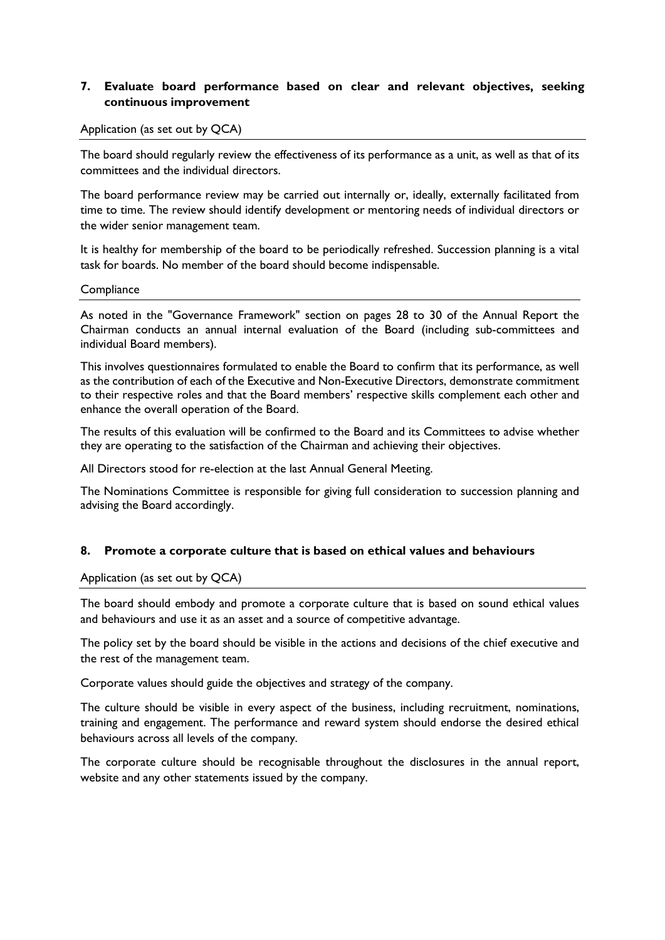# 7. Evaluate board performance based on clear and relevant objectives, seeking continuous improvement

#### Application (as set out by QCA)

The board should regularly review the effectiveness of its performance as a unit, as well as that of its committees and the individual directors.

The board performance review may be carried out internally or, ideally, externally facilitated from time to time. The review should identify development or mentoring needs of individual directors or the wider senior management team.

It is healthy for membership of the board to be periodically refreshed. Succession planning is a vital task for boards. No member of the board should become indispensable.

#### **Compliance**

As noted in the "Governance Framework" section on pages 28 to 30 of the Annual Report the Chairman conducts an annual internal evaluation of the Board (including sub-committees and individual Board members).

This involves questionnaires formulated to enable the Board to confirm that its performance, as well as the contribution of each of the Executive and Non-Executive Directors, demonstrate commitment to their respective roles and that the Board members' respective skills complement each other and enhance the overall operation of the Board.

The results of this evaluation will be confirmed to the Board and its Committees to advise whether they are operating to the satisfaction of the Chairman and achieving their objectives.

All Directors stood for re-election at the last Annual General Meeting.

The Nominations Committee is responsible for giving full consideration to succession planning and advising the Board accordingly.

## 8. Promote a corporate culture that is based on ethical values and behaviours

Application (as set out by QCA)

The board should embody and promote a corporate culture that is based on sound ethical values and behaviours and use it as an asset and a source of competitive advantage.

The policy set by the board should be visible in the actions and decisions of the chief executive and the rest of the management team.

Corporate values should guide the objectives and strategy of the company.

The culture should be visible in every aspect of the business, including recruitment, nominations, training and engagement. The performance and reward system should endorse the desired ethical behaviours across all levels of the company.

The corporate culture should be recognisable throughout the disclosures in the annual report, website and any other statements issued by the company.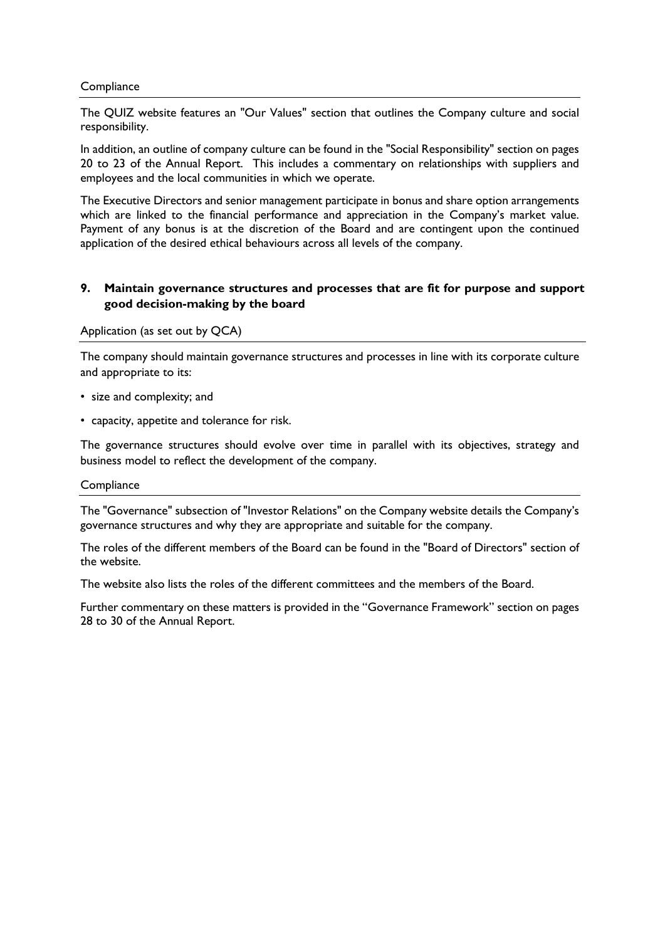## **Compliance**

The QUIZ website features an "Our Values" section that outlines the Company culture and social responsibility.

In addition, an outline of company culture can be found in the "Social Responsibility" section on pages 20 to 23 of the Annual Report. This includes a commentary on relationships with suppliers and employees and the local communities in which we operate.

The Executive Directors and senior management participate in bonus and share option arrangements which are linked to the financial performance and appreciation in the Company's market value. Payment of any bonus is at the discretion of the Board and are contingent upon the continued application of the desired ethical behaviours across all levels of the company.

# 9. Maintain governance structures and processes that are fit for purpose and support good decision-making by the board

## Application (as set out by QCA)

The company should maintain governance structures and processes in line with its corporate culture and appropriate to its:

- size and complexity; and
- capacity, appetite and tolerance for risk.

The governance structures should evolve over time in parallel with its objectives, strategy and business model to reflect the development of the company.

## **Compliance**

The "Governance" subsection of "Investor Relations" on the Company website details the Company's governance structures and why they are appropriate and suitable for the company.

The roles of the different members of the Board can be found in the "Board of Directors" section of the website.

The website also lists the roles of the different committees and the members of the Board.

Further commentary on these matters is provided in the "Governance Framework" section on pages 28 to 30 of the Annual Report.